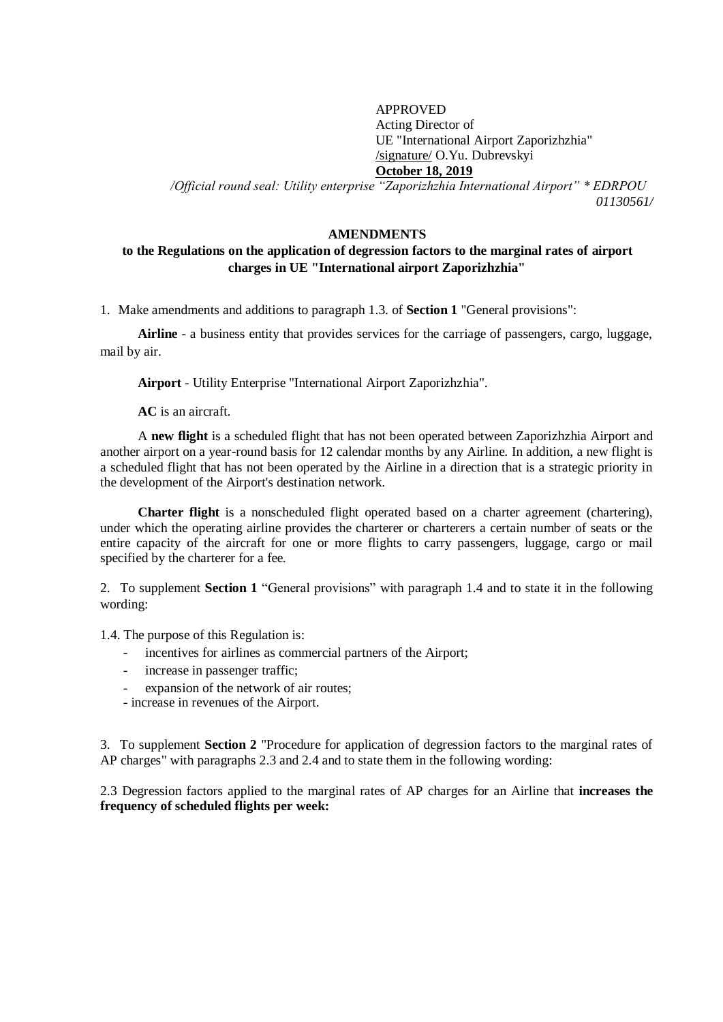#### APPROVED Acting Director of UE "International Airport Zaporizhzhia" /signature/ O.Yu. Dubrevskyi **October 18, 2019**

*/Official round seal: Utility enterprise "Zaporizhzhia International Airport" \* EDRPOU 01130561/*

#### **AMENDMENTS**

### **to the Regulations on the application of degression factors to the marginal rates of airport charges in UE "International airport Zaporizhzhia"**

1. Make amendments and additions to paragraph 1.3. of **Section 1** "General provisions":

**Airline** - a business entity that provides services for the carriage of passengers, cargo, luggage, mail by air.

**Airport** - Utility Enterprise "International Airport Zaporizhzhia".

**AC** is an aircraft.

A **new flight** is a scheduled flight that has not been operated between Zaporizhzhia Airport and another airport on a year-round basis for 12 calendar months by any Airline. In addition, a new flight is a scheduled flight that has not been operated by the Airline in a direction that is a strategic priority in the development of the Airport's destination network.

**Charter flight** is a nonscheduled flight operated based on a charter agreement (chartering), under which the operating airline provides the charterer or charterers a certain number of seats or the entire capacity of the aircraft for one or more flights to carry passengers, luggage, cargo or mail specified by the charterer for a fee.

2. To supplement **Section 1** "General provisions" with paragraph 1.4 and to state it in the following wording:

1.4. The purpose of this Regulation is:

- incentives for airlines as commercial partners of the Airport;
- increase in passenger traffic;
- expansion of the network of air routes:
- increase in revenues of the Airport.

3. To supplement **Section 2** "Procedure for application of degression factors to the marginal rates of AP charges" with paragraphs 2.3 and 2.4 and to state them in the following wording:

2.3 Degression factors applied to the marginal rates of AP charges for an Airline that **increases the frequency of scheduled flights per week:**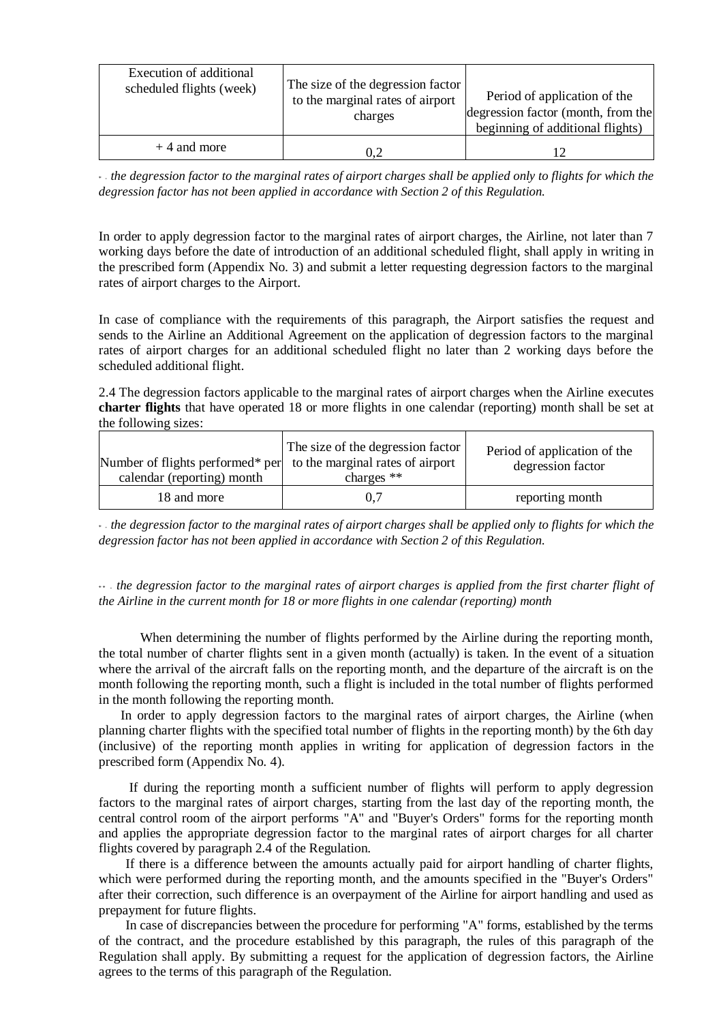| Execution of additional<br>scheduled flights (week) | The size of the degression factor<br>to the marginal rates of airport<br>charges | Period of application of the<br>degression factor (month, from the<br>beginning of additional flights) |
|-----------------------------------------------------|----------------------------------------------------------------------------------|--------------------------------------------------------------------------------------------------------|
| $+4$ and more                                       |                                                                                  |                                                                                                        |

\* - *the degression factor to the marginal rates of airport charges shall be applied only to flights for which the degression factor has not been applied in accordance with Section 2 of this Regulation.*

In order to apply degression factor to the marginal rates of airport charges, the Airline, not later than 7 working days before the date of introduction of an additional scheduled flight, shall apply in writing in the prescribed form (Appendix No. 3) and submit a letter requesting degression factors to the marginal rates of airport charges to the Airport.

In case of compliance with the requirements of this paragraph, the Airport satisfies the request and sends to the Airline an Additional Agreement on the application of degression factors to the marginal rates of airport charges for an additional scheduled flight no later than 2 working days before the scheduled additional flight.

2.4 The degression factors applicable to the marginal rates of airport charges when the Airline executes **charter flights** that have operated 18 or more flights in one calendar (reporting) month shall be set at the following sizes:

| Number of flights performed* per to the marginal rates of airport | The size of the degression factor | Period of application of the |
|-------------------------------------------------------------------|-----------------------------------|------------------------------|
| calendar (reporting) month                                        | charges $**$                      | degression factor            |
| 18 and more                                                       | 0.7                               | reporting month              |

\* - *the degression factor to the marginal rates of airport charges shall be applied only to flights for which the degression factor has not been applied in accordance with Section 2 of this Regulation.*

\*\* - *the degression factor to the marginal rates of airport charges is applied from the first charter flight of the Airline in the current month for 18 or more flights in one calendar (reporting) month*

When determining the number of flights performed by the Airline during the reporting month, the total number of charter flights sent in a given month (actually) is taken. In the event of a situation where the arrival of the aircraft falls on the reporting month, and the departure of the aircraft is on the month following the reporting month, such a flight is included in the total number of flights performed in the month following the reporting month.

In order to apply degression factors to the marginal rates of airport charges, the Airline (when planning charter flights with the specified total number of flights in the reporting month) by the 6th day (inclusive) of the reporting month applies in writing for application of degression factors in the prescribed form (Appendix No. 4).

If during the reporting month a sufficient number of flights will perform to apply degression factors to the marginal rates of airport charges, starting from the last day of the reporting month, the central control room of the airport performs "A" and "Buyer's Orders" forms for the reporting month and applies the appropriate degression factor to the marginal rates of airport charges for all charter flights covered by paragraph 2.4 of the Regulation.

If there is a difference between the amounts actually paid for airport handling of charter flights, which were performed during the reporting month, and the amounts specified in the "Buyer's Orders" after their correction, such difference is an overpayment of the Airline for airport handling and used as prepayment for future flights.

In case of discrepancies between the procedure for performing "A" forms, established by the terms of the contract, and the procedure established by this paragraph, the rules of this paragraph of the Regulation shall apply. By submitting a request for the application of degression factors, the Airline agrees to the terms of this paragraph of the Regulation.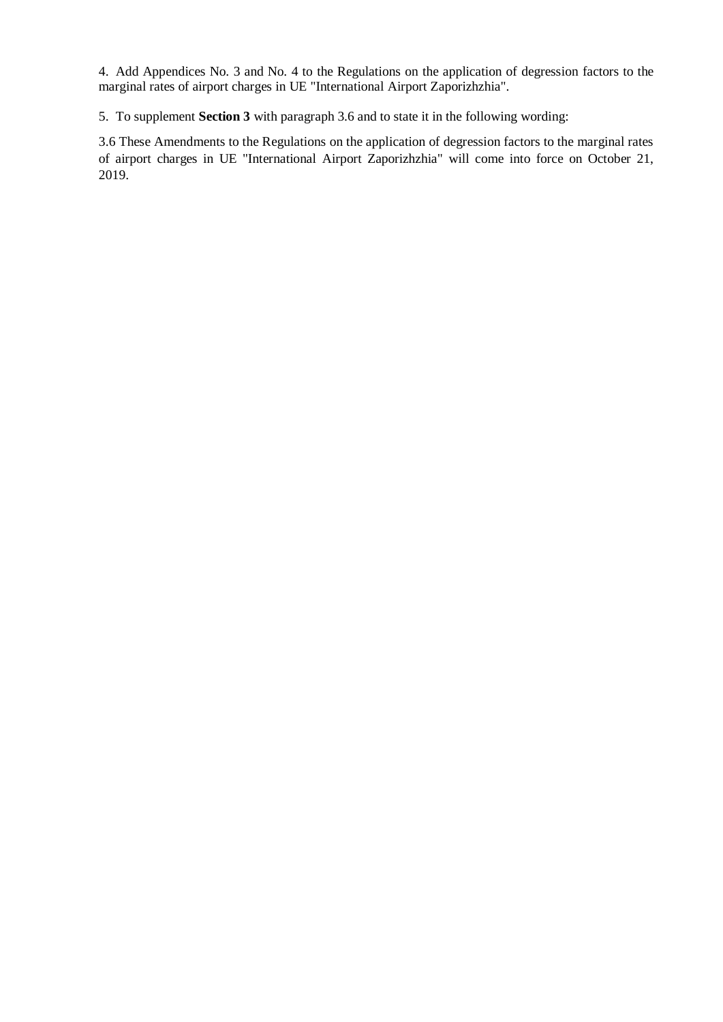4. Add Appendices No. 3 and No. 4 to the Regulations on the application of degression factors to the marginal rates of airport charges in UE "International Airport Zaporizhzhia".

5. To supplement **Section 3** with paragraph 3.6 and to state it in the following wording:

3.6 These Amendments to the Regulations on the application of degression factors to the marginal rates of airport charges in UE "International Airport Zaporizhzhia" will come into force on October 21, 2019.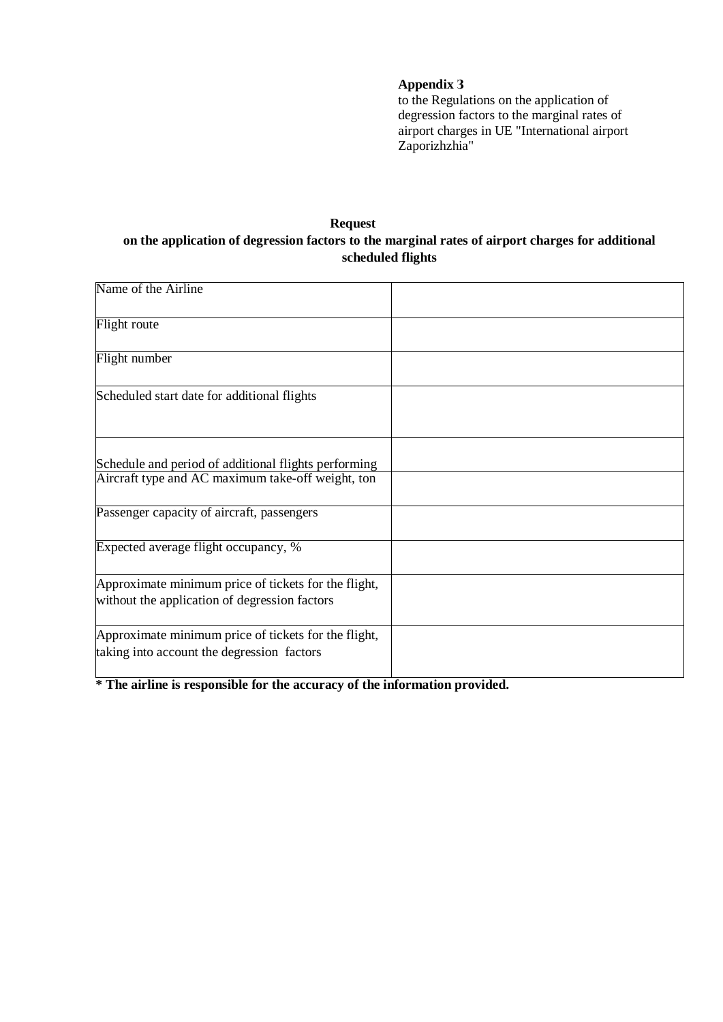## **Appendix З**

to the Regulations on the application of degression factors to the marginal rates of airport charges in UE "International airport Zaporizhzhia"

# **Request on the application of degression factors to the marginal rates of airport charges for additional scheduled flights**

| Name of the Airline                                                                                   |  |
|-------------------------------------------------------------------------------------------------------|--|
| Flight route                                                                                          |  |
| Flight number                                                                                         |  |
| Scheduled start date for additional flights                                                           |  |
| Schedule and period of additional flights performing                                                  |  |
| Aircraft type and AC maximum take-off weight, ton                                                     |  |
| Passenger capacity of aircraft, passengers                                                            |  |
| Expected average flight occupancy, %                                                                  |  |
| Approximate minimum price of tickets for the flight,<br>without the application of degression factors |  |
| Approximate minimum price of tickets for the flight,<br>taking into account the degression factors    |  |

**\* The airline is responsible for the accuracy of the information provided.**